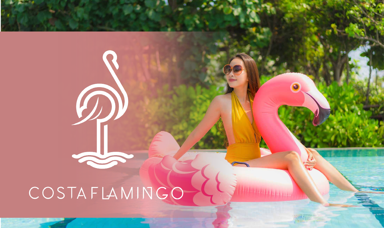COSTAFLAMINGO

W

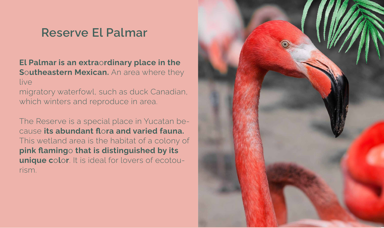## Reserve El Palmar

- El Palmar is an extraordinary place in the Southeastern Mexican. An area where they live
- migratory waterfowl, such as duck Canadian, which winters and reproduce in area.
- The Reserve is a special place in Yucatan because its abundant flora and varied fauna. This wetland area is the habitat of a colony of pink flamingo that is distinguished by its unique color. It is ideal for lovers of ecotourism.

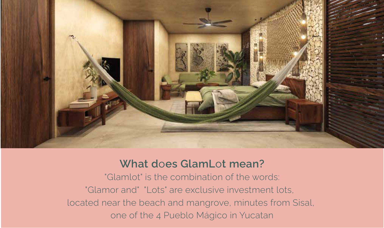

### What does GlamLot mean?

- "Glamlot" is the combination of the words:
- "Glamor and" "Lots" are exclusive investment lots,
- located near the beach and mangrove, minutes from Sisal,
	- one of the 4 Pueblo Mágico in Yucatan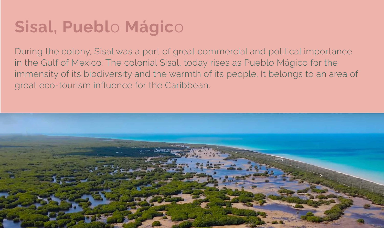# Sisal, Pueblo Mágico

During the colony, Sisal was a port of great commercial and political importance in the Gulf of Mexico. The colonial Sisal, today rises as Pueblo Mágico for the immensity of its biodiversity and the warmth of its people. It belongs to an area of great eco-tourism influence for the Caribbean.